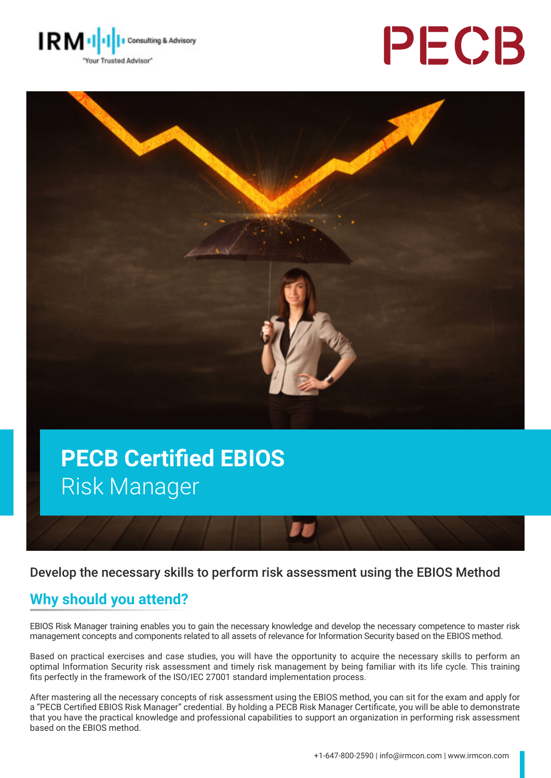





# **PECB Certified EBIOS**  Risk Manager

#### Develop the necessary skills to perform risk assessment using the EBIOS Method

#### **Why should you attend?**

EBIOS Risk Manager training enables you to gain the necessary knowledge and develop the necessary competence to master risk management concepts and components related to all assets of relevance for Information Security based on the EBIOS method.

Based on practical exercises and case studies, you will have the opportunity to acquire the necessary skills to perform an optimal Information Security risk assessment and timely risk management by being familiar with its life cycle. This training fits perfectly in the framework of the ISO/IEC 27001 standard implementation process.

After mastering all the necessary concepts of risk assessment using the EBIOS method, you can sit for the exam and apply for a "PECB Certified EBIOS Risk Manager" credential. By holding a PECB Risk Manager Certificate, you will be able to demonstrate that you have the practical knowledge and professional capabilities to support an organization in performing risk assessment based on the EBIOS method.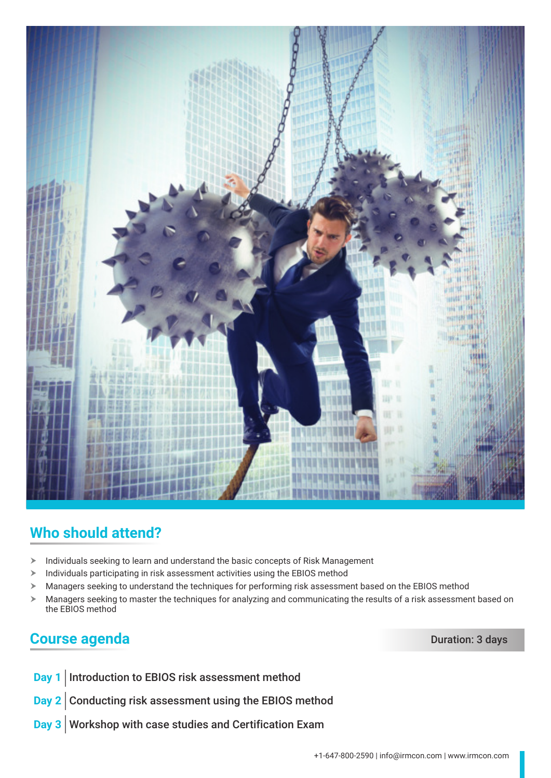

# **Who should attend?**

- $\blacktriangleright$  Individuals seeking to learn and understand the basic concepts of Risk Management
- $\blacktriangleright$  Individuals participating in risk assessment activities using the EBIOS method
- $\triangleright$  Managers seeking to understand the techniques for performing risk assessment based on the EBIOS method
- $\triangleright$  Managers seeking to master the techniques for analyzing and communicating the results of a risk assessment based on the EBIOS method

#### **Course agenda** Duration: 3 days

- **Day 1** Introduction to EBIOS risk assessment method
- **Day 2** Conducting risk assessment using the EBIOS method
- **Day 3** Workshop with case studies and Certification Exam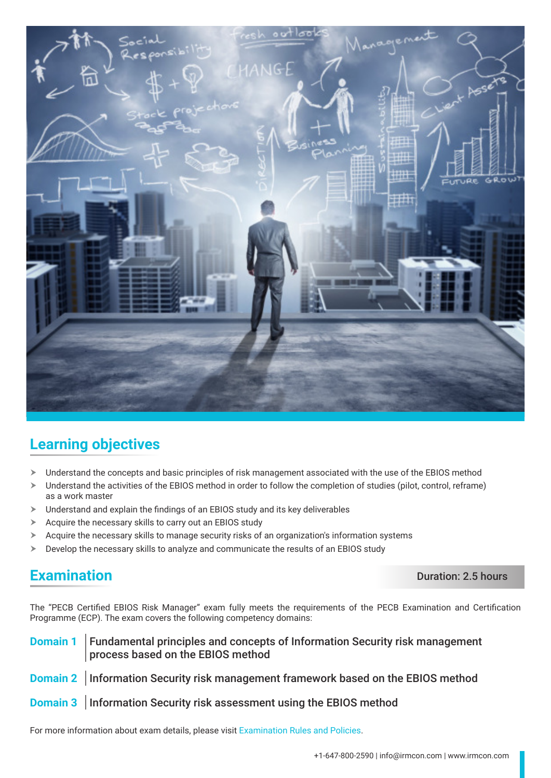

# **Learning objectives**

- $\triangleright$  Understand the concepts and basic principles of risk management associated with the use of the EBIOS method
- Understand the activities of the EBIOS method in order to follow the completion of studies (pilot, control, reframe) as a work master
- $\blacktriangleright$  Understand and explain the findings of an EBIOS study and its key deliverables
- $\triangleright$  Acquire the necessary skills to carry out an EBIOS study
- $\blacktriangleright$  Acquire the necessary skills to manage security risks of an organization's information systems
- $\triangleright$  Develop the necessary skills to analyze and communicate the results of an EBIOS study

#### **Examination** Duration: 2.5 hours

The "PECB Certified EBIOS Risk Manager" exam fully meets the requirements of the PECB Examination and Certification Programme (ECP). The exam covers the following competency domains:

#### **Domain 1** Fundamental principles and concepts of Information Security risk management process based on the EBIOS method

- **Domain 2** Information Security risk management framework based on the EBIOS method
- **Domain 3** Information Security risk assessment using the EBIOS method

For more information about exam details, please visit [Examination Rules and Policies](https://pecb.com/en/examination-rules-and-policies).